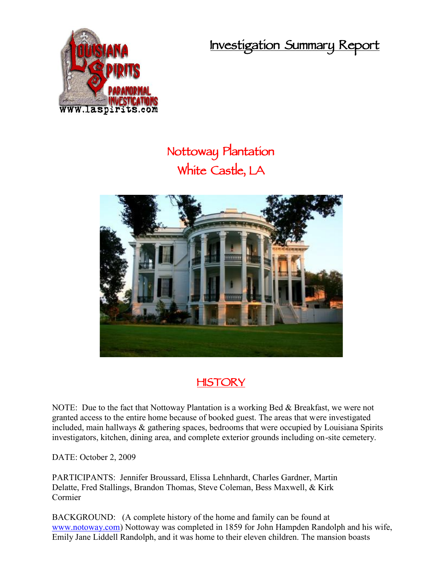**Investigation Summary Report**



## **Nottoway Plantation White Castle, LA**



## **HISTORY**

NOTE: Due to the fact that Nottoway Plantation is a working Bed & Breakfast, we were not granted access to the entire home because of booked guest. The areas that were investigated included, main hallways & gathering spaces, bedrooms that were occupied by Louisiana Spirits investigators, kitchen, dining area, and complete exterior grounds including on-site cemetery.

DATE: October 2, 2009

PARTICIPANTS: Jennifer Broussard, Elissa Lehnhardt, Charles Gardner, Martin Delatte, Fred Stallings, Brandon Thomas, Steve Coleman, Bess Maxwell, & Kirk Cormier

BACKGROUND: (A complete history of the home and family can be found at www.notoway.com) Nottoway was completed in 1859 for John Hampden Randolph and his wife, Emily Jane Liddell Randolph, and it was home to their eleven children. The mansion boasts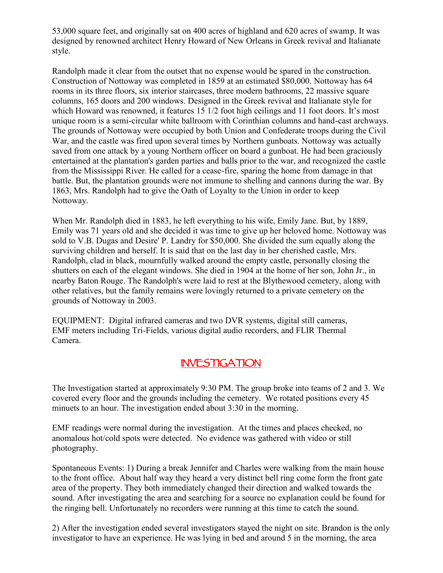53,000 square feet, and originally sat on 400 acres of highland and 620 acres of swamp. It was designed by renowned architect Henry Howard of New Orleans in Greek revival and Italianate style.

Randolph made it clear from the outset that no expense would be spared in the construction. Construction of Nottoway was completed in 1859 at an estimated \$80,000. Nottoway has 64 rooms in its three floors, six interior staircases, three modern bathrooms, 22 massive square columns, 165 doors and 200 windows. Designed in the Greek revival and Italianate style for which Howard was renowned, it features 15 1/2 foot high ceilings and 11 foot doors. It's most unique room is a semi-circular white ballroom with Corinthian columns and hand-cast archways. The grounds of Nottoway were occupied by both Union and Confederate troops during the Civil War, and the castle was fired upon several times by Northern gunboats. Nottoway was actually saved from one attack by a young Northern officer on board a gunboat. He had been graciously entertained at the plantation's garden parties and balls prior to the war, and recognized the castle from the Mississippi River. He called for a cease-fire, sparing the home from damage in that battle. But, the plantation grounds were not immune to shelling and cannons during the war. By 1863, Mrs. Randolph had to give the Oath of Loyalty to the Union in order to keep Nottoway.

When Mr. Randolph died in 1883, he left everything to his wife, Emily Jane. But, by 1889, Emily was 71 years old and she decided it was time to give up her beloved home. Nottoway was sold to V.B. Dugas and Desire' P. Landry for \$50,000. She divided the sum equally along the surviving children and herself. It is said that on the last day in her cherished castle, Mrs. Randolph, clad in black, mournfully walked around the empty castle, personally closing the shutters on each of the elegant windows. She died in 1904 at the home of her son, John Jr., in nearby Baton Rouge. The Randolph's were laid to rest at the Blythewood cemetery, along with other relatives, but the family remains were lovingly returned to a private cemetery on the grounds of Nottoway in 2003.

EQUIPMENT: Digital infrared cameras and two DVR systems, digital still cameras, EMF meters including Tri-Fields, various digital audio recorders, and FLIR Thermal Camera.

## **INVESTIGATION**

The Investigation started at approximately 9:30 PM. The group broke into teams of 2 and 3. We covered every floor and the grounds including the cemetery. We rotated positions every 45 minuets to an hour. The investigation ended about 3:30 in the morning.

EMF readings were normal during the investigation. At the times and places checked, no anomalous hot/cold spots were detected. No evidence was gathered with video or still photography.

Spontaneous Events: 1) During a break Jennifer and Charles were walking from the main house to the front office. About half way they heard a very distinct bell ring come form the front gate area of the property. They both immediately changed their direction and walked towards the sound. After investigating the area and searching for a source no explanation could be found for the ringing bell. Unfortunately no recorders were running at this time to catch the sound.

2) After the investigation ended several investigators stayed the night on site. Brandon is the only investigator to have an experience. He was lying in bed and around 5 in the morning, the area